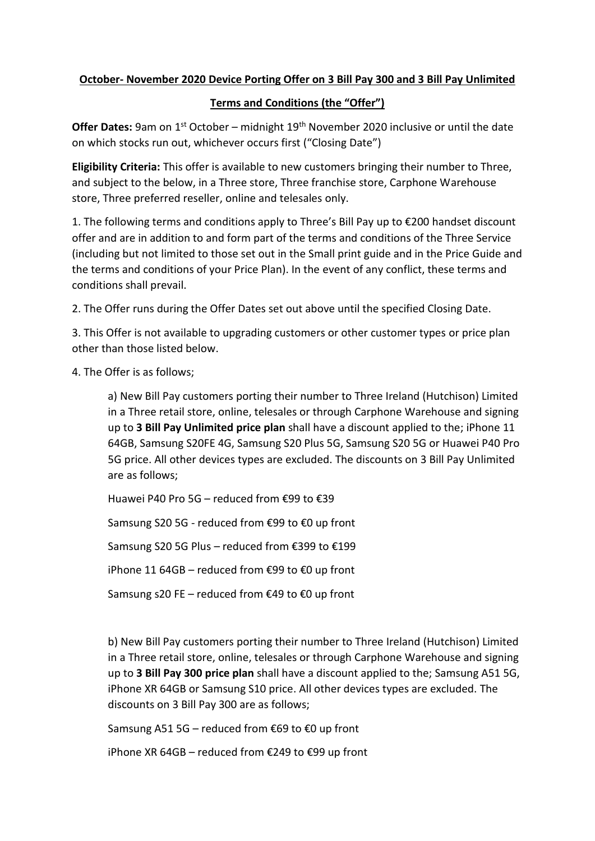## **October- November 2020 Device Porting Offer on 3 Bill Pay 300 and 3 Bill Pay Unlimited**

## **Terms and Conditions (the "Offer")**

Offer Dates: 9am on 1<sup>st</sup> October – midnight 19<sup>th</sup> November 2020 inclusive or until the date on which stocks run out, whichever occurs first ("Closing Date")

**Eligibility Criteria:** This offer is available to new customers bringing their number to Three, and subject to the below, in a Three store, Three franchise store, Carphone Warehouse store, Three preferred reseller, online and telesales only.

1. The following terms and conditions apply to Three's Bill Pay up to €200 handset discount offer and are in addition to and form part of the terms and conditions of the Three Service (including but not limited to those set out in the Small print guide and in the Price Guide and the terms and conditions of your Price Plan). In the event of any conflict, these terms and conditions shall prevail.

2. The Offer runs during the Offer Dates set out above until the specified Closing Date.

3. This Offer is not available to upgrading customers or other customer types or price plan other than those listed below.

4. The Offer is as follows;

a) New Bill Pay customers porting their number to Three Ireland (Hutchison) Limited in a Three retail store, online, telesales or through Carphone Warehouse and signing up to **3 Bill Pay Unlimited price plan** shall have a discount applied to the; iPhone 11 64GB, Samsung S20FE 4G, Samsung S20 Plus 5G, Samsung S20 5G or Huawei P40 Pro 5G price. All other devices types are excluded. The discounts on 3 Bill Pay Unlimited are as follows;

Huawei P40 Pro 5G – reduced from €99 to €39

Samsung S20 5G - reduced from €99 to €0 up front

Samsung S20 5G Plus – reduced from €399 to €199

iPhone 11 64GB – reduced from €99 to €0 up front

Samsung s20 FE – reduced from €49 to €0 up front

b) New Bill Pay customers porting their number to Three Ireland (Hutchison) Limited in a Three retail store, online, telesales or through Carphone Warehouse and signing up to **3 Bill Pay 300 price plan** shall have a discount applied to the; Samsung A51 5G, iPhone XR 64GB or Samsung S10 price. All other devices types are excluded. The discounts on 3 Bill Pay 300 are as follows;

Samsung A51 5G – reduced from €69 to €0 up front

iPhone XR 64GB – reduced from €249 to €99 up front